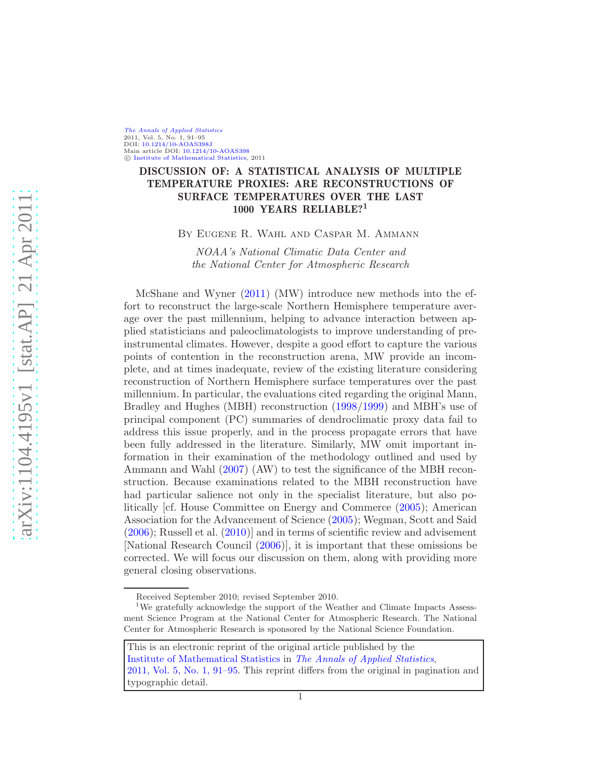[The Annals of Applied Statistics](http://www.imstat.org/aoas/) 2011, Vol. 5, No. 1, 91–95 DOI: [10.1214/10-AOAS398J](http://dx.doi.org/10.1214/10-AOAS398J) Main article DOI: [10.1214/10-AOAS398](http://dx.doi.org/10.1214/10-AOAS398)  $©$  [Institute of Mathematical Statistics,](http://www.imstat.org) 2011

# DISCUSSION OF: A STATISTICAL ANALYSIS OF MULTIPLE TEMPERATURE PROXIES: ARE RECONSTRUCTIONS OF SURFACE TEMPERATURES OVER THE LAST 1000 YEARS RELIABLE?<sup>1</sup>

By Eugene R. Wahl and Caspar M. Ammann

NOAA's National Climatic Data Center and the National Center for Atmospheric Research

McShane and Wyner [\(2011](#page-3-0)) (MW) introduce new methods into the effort to reconstruct the large-scale Northern Hemisphere temperature average over the past millennium, helping to advance interaction between applied statisticians and paleoclimatologists to improve understanding of preinstrumental climates. However, despite a good effort to capture the various points of contention in the reconstruction arena, MW provide an incomplete, and at times inadequate, review of the existing literature considering reconstruction of Northern Hemisphere surface temperatures over the past millennium. In particular, the evaluations cited regarding the original Mann, Bradley and Hughes (MBH) reconstruction [\(1998](#page-3-1)[/1999](#page-3-2)) and MBH's use of principal component (PC) summaries of dendroclimatic proxy data fail to address this issue properly, and in the process propagate errors that have been fully addressed in the literature. Similarly, MW omit important information in their examination of the methodology outlined and used by Ammann and Wahl [\(2007](#page-3-3)) (AW) to test the significance of the MBH reconstruction. Because examinations related to the MBH reconstruction have had particular salience not only in the specialist literature, but also politically [cf. House Committee on Energy and Commerce [\(2005](#page-3-4)); American Association for the Advancement of Science [\(2005](#page-3-5)); Wegman, Scott and Said  $(2006)$ ; Russell et al.  $(2010)$  and in terms of scientific review and advisement [National Research Council [\(2006](#page-3-6))], it is important that these omissions be corrected. We will focus our discussion on them, along with providing more general closing observations.

Received September 2010; revised September 2010.

<sup>&</sup>lt;sup>1</sup>We gratefully acknowledge the support of the Weather and Climate Impacts Assessment Science Program at the National Center for Atmospheric Research. The National Center for Atmospheric Research is sponsored by the National Science Foundation.

This is an electronic reprint of the original article published by the [Institute of Mathematical Statistics](http://www.imstat.org) in [The Annals of Applied Statistics](http://www.imstat.org/aoas/), [2011, Vol. 5, No. 1, 91–95.](http://dx.doi.org/10.1214/10-AOAS398J) This reprint differs from the original in pagination and typographic detail.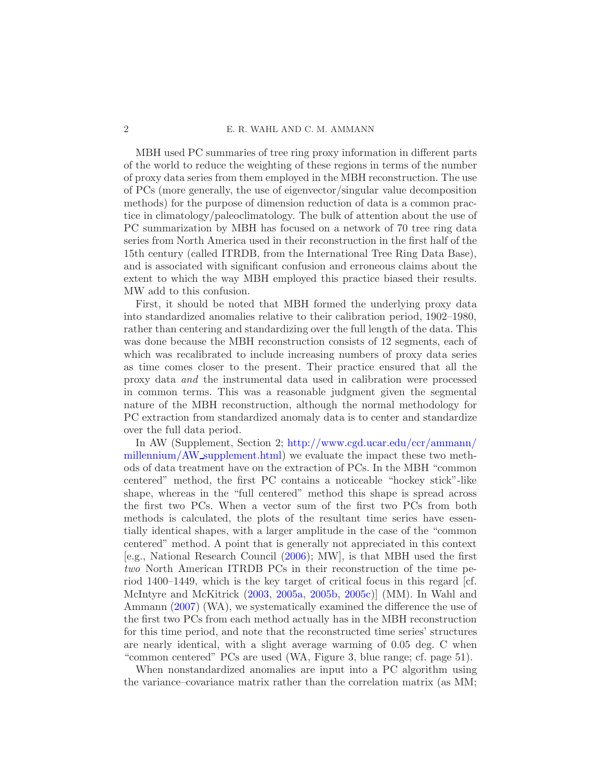## 2 E. R. WAHL AND C. M. AMMANN

MBH used PC summaries of tree ring proxy information in different parts of the world to reduce the weighting of these regions in terms of the number of proxy data series from them employed in the MBH reconstruction. The use of PCs (more generally, the use of eigenvector/singular value decomposition methods) for the purpose of dimension reduction of data is a common practice in climatology/paleoclimatology. The bulk of attention about the use of PC summarization by MBH has focused on a network of 70 tree ring data series from North America used in their reconstruction in the first half of the 15th century (called ITRDB, from the International Tree Ring Data Base), and is associated with significant confusion and erroneous claims about the extent to which the way MBH employed this practice biased their results. MW add to this confusion.

First, it should be noted that MBH formed the underlying proxy data into standardized anomalies relative to their calibration period, 1902–1980, rather than centering and standardizing over the full length of the data. This was done because the MBH reconstruction consists of 12 segments, each of which was recalibrated to include increasing numbers of proxy data series as time comes closer to the present. Their practice ensured that all the proxy data and the instrumental data used in calibration were processed in common terms. This was a reasonable judgment given the segmental nature of the MBH reconstruction, although the normal methodology for PC extraction from standardized anomaly data is to center and standardize over the full data period.

In AW (Supplement, Section 2; [http://www.cgd.ucar.edu/ccr/ammann/](http://www.cgd.ucar.edu/ccr/ammann/millennium/AW_supplement.html) millennium/AW [supplement.html\)](http://www.cgd.ucar.edu/ccr/ammann/millennium/AW_supplement.html) we evaluate the impact these two methods of data treatment have on the extraction of PCs. In the MBH "common centered" method, the first PC contains a noticeable "hockey stick"-like shape, whereas in the "full centered" method this shape is spread across the first two PCs. When a vector sum of the first two PCs from both methods is calculated, the plots of the resultant time series have essentially identical shapes, with a larger amplitude in the case of the "common centered" method. A point that is generally not appreciated in this context [e.g., National Research Council [\(2006](#page-3-6)); MW], is that MBH used the first two North American ITRDB PCs in their reconstruction of the time period 1400–1449, which is the key target of critical focus in this regard [cf. McIntyre and McKitrick [\(2003](#page-3-7), [2005a,](#page-3-8) [2005b,](#page-3-9) [2005c](#page-3-10))] (MM). In Wahl and Ammann [\(2007\)](#page-4-2) (WA), we systematically examined the difference the use of the first two PCs from each method actually has in the MBH reconstruction for this time period, and note that the reconstructed time series' structures are nearly identical, with a slight average warming of 0.05 deg. C when "common centered" PCs are used (WA, Figure 3, blue range; cf. page 51).

When nonstandardized anomalies are input into a PC algorithm using the variance–covariance matrix rather than the correlation matrix (as MM;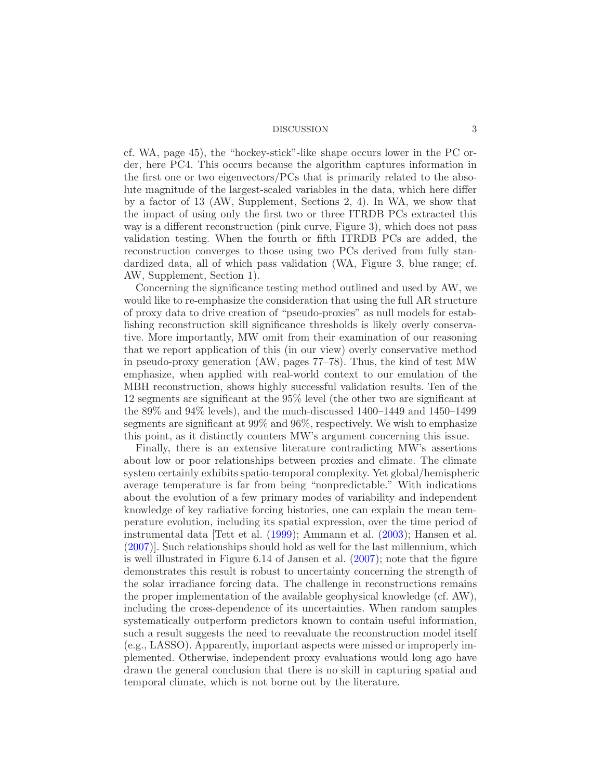#### DISCUSSION 3

cf. WA, page 45), the "hockey-stick"-like shape occurs lower in the PC order, here PC4. This occurs because the algorithm captures information in the first one or two eigenvectors/PCs that is primarily related to the absolute magnitude of the largest-scaled variables in the data, which here differ by a factor of 13 (AW, Supplement, Sections 2, 4). In WA, we show that the impact of using only the first two or three ITRDB PCs extracted this way is a different reconstruction (pink curve, Figure 3), which does not pass validation testing. When the fourth or fifth ITRDB PCs are added, the reconstruction converges to those using two PCs derived from fully standardized data, all of which pass validation (WA, Figure 3, blue range; cf. AW, Supplement, Section 1).

Concerning the significance testing method outlined and used by AW, we would like to re-emphasize the consideration that using the full AR structure of proxy data to drive creation of "pseudo-proxies" as null models for establishing reconstruction skill significance thresholds is likely overly conservative. More importantly, MW omit from their examination of our reasoning that we report application of this (in our view) overly conservative method in pseudo-proxy generation (AW, pages 77–78). Thus, the kind of test MW emphasize, when applied with real-world context to our emulation of the MBH reconstruction, shows highly successful validation results. Ten of the 12 segments are significant at the 95% level (the other two are significant at the 89% and 94% levels), and the much-discussed 1400–1449 and 1450–1499 segments are significant at 99% and 96%, respectively. We wish to emphasize this point, as it distinctly counters MW's argument concerning this issue.

Finally, there is an extensive literature contradicting MW's assertions about low or poor relationships between proxies and climate. The climate system certainly exhibits spatio-temporal complexity. Yet global/hemispheric average temperature is far from being "nonpredictable." With indications about the evolution of a few primary modes of variability and independent knowledge of key radiative forcing histories, one can explain the mean temperature evolution, including its spatial expression, over the time period of instrumental data [Tett et al. [\(1999\)](#page-4-3); Ammann et al. [\(2003](#page-3-11)); Hansen et al. [\(2007\)](#page-3-12)]. Such relationships should hold as well for the last millennium, which is well illustrated in Figure 6.14 of Jansen et al. [\(2007](#page-3-13)); note that the figure demonstrates this result is robust to uncertainty concerning the strength of the solar irradiance forcing data. The challenge in reconstructions remains the proper implementation of the available geophysical knowledge (cf. AW), including the cross-dependence of its uncertainties. When random samples systematically outperform predictors known to contain useful information, such a result suggests the need to reevaluate the reconstruction model itself (e.g., LASSO). Apparently, important aspects were missed or improperly implemented. Otherwise, independent proxy evaluations would long ago have drawn the general conclusion that there is no skill in capturing spatial and temporal climate, which is not borne out by the literature.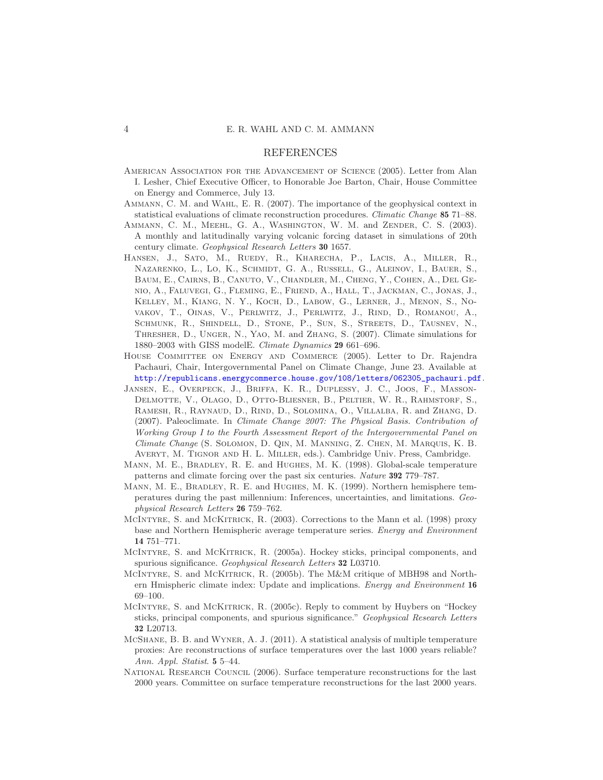### REFERENCES

- <span id="page-3-5"></span>American Association for the Advancement of Science (2005). Letter from Alan I. Lesher, Chief Executive Officer, to Honorable Joe Barton, Chair, House Committee on Energy and Commerce, July 13.
- <span id="page-3-3"></span>Ammann, C. M. and Wahl, E. R. (2007). The importance of the geophysical context in statistical evaluations of climate reconstruction procedures. *Climatic Change* 85 71–88.
- <span id="page-3-11"></span>Ammann, C. M., Meehl, G. A., Washington, W. M. and Zender, C. S. (2003). A monthly and latitudinally varying volcanic forcing dataset in simulations of 20th century climate. *Geophysical Research Letters* 30 1657.
- <span id="page-3-12"></span>Hansen, J., Sato, M., Ruedy, R., Kharecha, P., Lacis, A., Miller, R., Nazarenko, L., Lo, K., Schmidt, G. A., Russell, G., Aleinov, I., Bauer, S., Baum, E., Cairns, B., Canuto, V., Chandler, M., Cheng, Y., Cohen, A., Del Genio, A., Faluvegi, G., Fleming, E., Friend, A., Hall, T., Jackman, C., Jonas, J., Kelley, M., Kiang, N. Y., Koch, D., Labow, G., Lerner, J., Menon, S., Novakov, T., Oinas, V., Perlwitz, J., Perlwitz, J., Rind, D., Romanou, A., Schmunk, R., Shindell, D., Stone, P., Sun, S., Streets, D., Tausnev, N., Thresher, D., Unger, N., Yao, M. and Zhang, S. (2007). Climate simulations for 1880–2003 with GISS modelE. *Climate Dynamics* 29 661–696.
- <span id="page-3-4"></span>House Committee on Energy and Commerce (2005). Letter to Dr. Rajendra Pachauri, Chair, Intergovernmental Panel on Climate Change, June 23. Available at [http://republicans.energycommerce.house.gov/108/letters/062305\\_pachauri.pdf](http://republicans.energycommerce.house.gov/108/letters/062305_pachauri.pdf).
- <span id="page-3-13"></span>Jansen, E., Overpeck, J., Briffa, K. R., Duplessy, J. C., Joos, F., Masson-DELMOTTE, V., OLAGO, D., OTTO-BLIESNER, B., PELTIER, W. R., RAHMSTORF, S., Ramesh, R., Raynaud, D., Rind, D., Solomina, O., Villalba, R. and Zhang, D. (2007). Paleoclimate. In *Climate Change 2007: The Physical Basis. Contribution of Working Group I to the Fourth Assessment Report of the Intergovernmental Panel on Climate Change* (S. Solomon, D. Qin, M. Manning, Z. Chen, M. Marquis, K. B. Averyt, M. Tignor and H. L. Miller, eds.). Cambridge Univ. Press, Cambridge.
- <span id="page-3-1"></span>MANN, M. E., BRADLEY, R. E. and HUGHES, M. K. (1998). Global-scale temperature patterns and climate forcing over the past six centuries. *Nature* 392 779–787.
- <span id="page-3-2"></span>Mann, M. E., Bradley, R. E. and Hughes, M. K. (1999). Northern hemisphere temperatures during the past millennium: Inferences, uncertainties, and limitations. *Geophysical Research Letters* 26 759–762.
- <span id="page-3-7"></span>MCINTYRE, S. and MCKITRICK, R. (2003). Corrections to the Mann et al. (1998) proxy base and Northern Hemispheric average temperature series. *Energy and Environment* 14 751–771.
- <span id="page-3-8"></span>MCINTYRE, S. and MCKITRICK, R. (2005a). Hockey sticks, principal components, and spurious significance. *Geophysical Research Letters* 32 L03710.
- <span id="page-3-9"></span>MCINTYRE, S. and MCKITRICK, R. (2005b). The M&M critique of MBH98 and Northern Hmispheric climate index: Update and implications. *Energy and Environment* 16 69–100.
- <span id="page-3-10"></span>McIntyre, S. and McKitrick, R. (2005c). Reply to comment by Huybers on "Hockey sticks, principal components, and spurious significance." *Geophysical Research Letters* 32 L20713.
- <span id="page-3-0"></span>McShane, B. B. and Wyner, A. J. (2011). A statistical analysis of multiple temperature proxies: Are reconstructions of surface temperatures over the last 1000 years reliable? *Ann. Appl. Statist*. 5 5–44.
- <span id="page-3-6"></span>National Research Council (2006). Surface temperature reconstructions for the last 2000 years. Committee on surface temperature reconstructions for the last 2000 years.